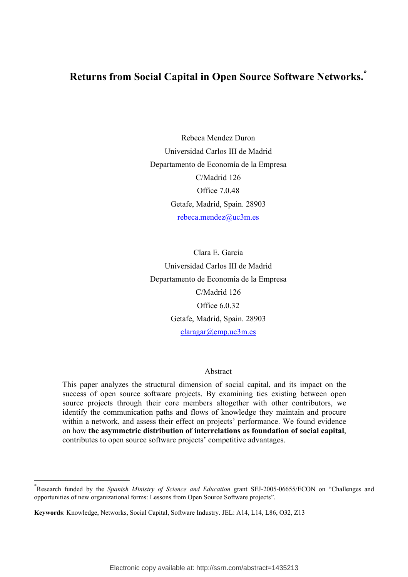# **Returns from Social Capital in Open Source Software Networks.\***

Rebeca Mendez Duron Universidad Carlos III de Madrid Departamento de Economía de la Empresa C/Madrid 126 Office 7.0.48 Getafe, Madrid, Spain. 28903 rebeca.mendez@uc3m.es

Clara E. García Universidad Carlos III de Madrid Departamento de Economía de la Empresa C/Madrid 126 Office 6.0.32 Getafe, Madrid, Spain. 28903 claragar@emp.uc3m.es

## Abstract

This paper analyzes the structural dimension of social capital, and its impact on the success of open source software projects. By examining ties existing between open source projects through their core members altogether with other contributors, we identify the communication paths and flows of knowledge they maintain and procure within a network, and assess their effect on projects' performance. We found evidence on how **the asymmetric distribution of interrelations as foundation of social capital**, contributes to open source software projects' competitive advantages.

<sup>\*</sup> Research funded by the *Spanish Ministry of Science and Education* grant SEJ-2005-06655/ECON on "Challenges and opportunities of new organizational forms: Lessons from Open Source Software projects".

**Keywords**: Knowledge, Networks, Social Capital, Software Industry. JEL: A14, L14, L86, O32, Z13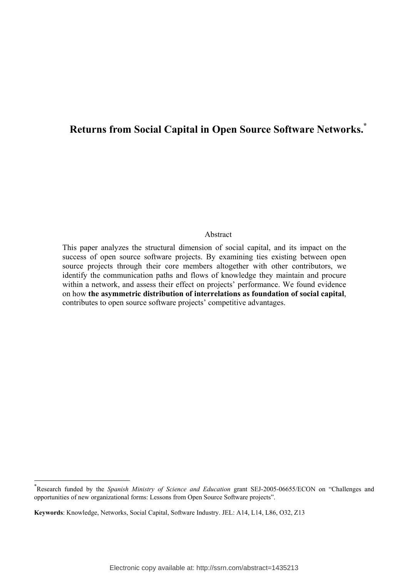# **Returns from Social Capital in Open Source Software Networks.\***

#### Abstract

This paper analyzes the structural dimension of social capital, and its impact on the success of open source software projects. By examining ties existing between open source projects through their core members altogether with other contributors, we identify the communication paths and flows of knowledge they maintain and procure within a network, and assess their effect on projects' performance. We found evidence on how **the asymmetric distribution of interrelations as foundation of social capital**, contributes to open source software projects' competitive advantages.

<sup>\*</sup> Research funded by the *Spanish Ministry of Science and Education* grant SEJ-2005-06655/ECON on "Challenges and opportunities of new organizational forms: Lessons from Open Source Software projects".

**Keywords**: Knowledge, Networks, Social Capital, Software Industry. JEL: A14, L14, L86, O32, Z13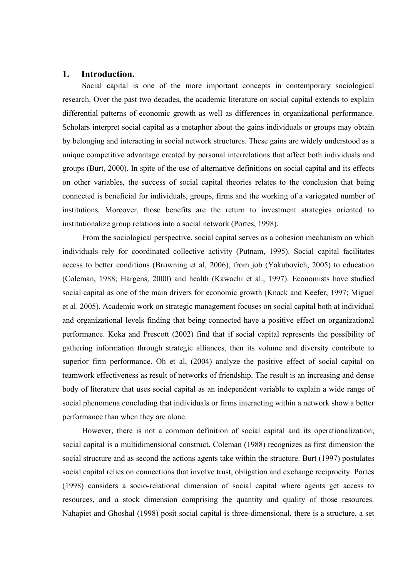# **1. Introduction.**

Social capital is one of the more important concepts in contemporary sociological research. Over the past two decades, the academic literature on social capital extends to explain differential patterns of economic growth as well as differences in organizational performance. Scholars interpret social capital as a metaphor about the gains individuals or groups may obtain by belonging and interacting in social network structures. These gains are widely understood as a unique competitive advantage created by personal interrelations that affect both individuals and groups (Burt, 2000). In spite of the use of alternative definitions on social capital and its effects on other variables, the success of social capital theories relates to the conclusion that being connected is beneficial for individuals, groups, firms and the working of a variegated number of institutions. Moreover, those benefits are the return to investment strategies oriented to institutionalize group relations into a social network (Portes, 1998).

From the sociological perspective, social capital serves as a cohesion mechanism on which individuals rely for coordinated collective activity (Putnam, 1995). Social capital facilitates access to better conditions (Browning et al, 2006), from job (Yakubovich, 2005) to education (Coleman, 1988; Hargens, 2000) and health (Kawachi et al., 1997). Economists have studied social capital as one of the main drivers for economic growth (Knack and Keefer, 1997; Miguel et al. 2005). Academic work on strategic management focuses on social capital both at individual and organizational levels finding that being connected have a positive effect on organizational performance. Koka and Prescott (2002) find that if social capital represents the possibility of gathering information through strategic alliances, then its volume and diversity contribute to superior firm performance. Oh et al, (2004) analyze the positive effect of social capital on teamwork effectiveness as result of networks of friendship. The result is an increasing and dense body of literature that uses social capital as an independent variable to explain a wide range of social phenomena concluding that individuals or firms interacting within a network show a better performance than when they are alone.

However, there is not a common definition of social capital and its operationalization; social capital is a multidimensional construct. Coleman (1988) recognizes as first dimension the social structure and as second the actions agents take within the structure. Burt (1997) postulates social capital relies on connections that involve trust, obligation and exchange reciprocity. Portes (1998) considers a socio-relational dimension of social capital where agents get access to resources, and a stock dimension comprising the quantity and quality of those resources. Nahapiet and Ghoshal (1998) posit social capital is three-dimensional, there is a structure, a set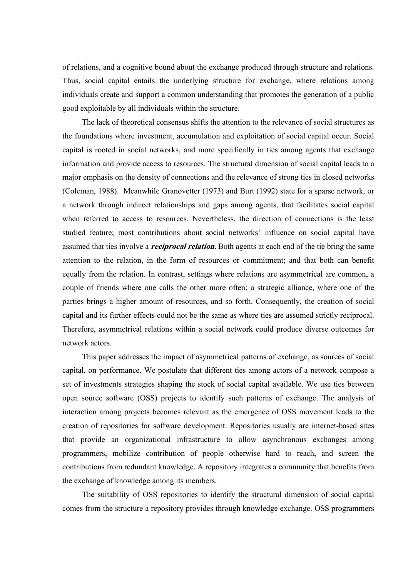of relations, and a cognitive bound about the exchange produced through structure and relations. Thus, social capital entails the underlying structure for exchange, where relations among individuals create and support a common understanding that promotes the generation of a public good exploitable by all individuals within the structure.

The lack of theoretical consensus shifts the attention to the relevance of social structures as the foundations where investment, accumulation and exploitation of social capital occur. Social capital is rooted in social networks, and more specifically in ties among agents that exchange information and provide access to resources. The structural dimension of social capital leads to a major emphasis on the density of connections and the relevance of strong ties in closed networks (Coleman, 1988). Meanwhile Granovetter (1973) and Burt (1992) state for a sparse network, or a network through indirect relationships and gaps among agents, that facilitates social capital when referred to access to resources. Nevertheless, the direction of connections is the least studied feature; most contributions about social networks' influence on social capital have assumed that ties involve a **reciprocal relation.** Both agents at each end of the tie bring the same attention to the relation, in the form of resources or commitment; and that both can benefit equally from the relation. In contrast, settings where relations are asymmetrical are common, a couple of friends where one calls the other more often; a strategic alliance, where one of the parties brings a higher amount of resources, and so forth. Consequently, the creation of social capital and its further effects could not be the same as where ties are assumed strictly reciprocal. Therefore, asymmetrical relations within a social network could produce diverse outcomes for network actors.

This paper addresses the impact of asymmetrical patterns of exchange, as sources of social capital, on performance. We postulate that different ties among actors of a network compose a set of investments strategies shaping the stock of social capital available. We use ties between open source software (OSS) projects to identify such patterns of exchange. The analysis of interaction among projects becomes relevant as the emergence of OSS movement leads to the creation of repositories for software development. Repositories usually are internet-based sites that provide an organizational infrastructure to allow asynchronous exchanges among programmers, mobilize contribution of people otherwise hard to reach, and screen the contributions from redundant knowledge. A repository integrates a community that benefits from the exchange of knowledge among its members.

The suitability of OSS repositories to identify the structural dimension of social capital comes from the structure a repository provides through knowledge exchange. OSS programmers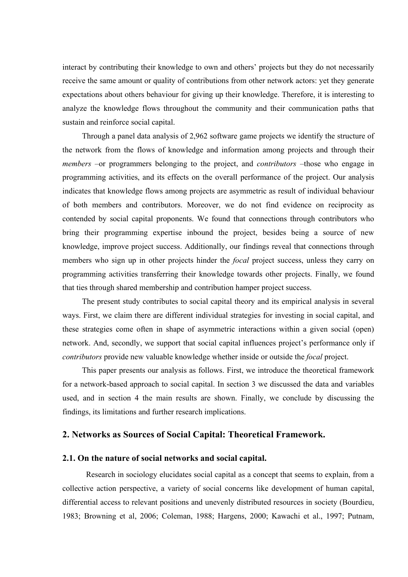interact by contributing their knowledge to own and others' projects but they do not necessarily receive the same amount or quality of contributions from other network actors: yet they generate expectations about others behaviour for giving up their knowledge. Therefore, it is interesting to analyze the knowledge flows throughout the community and their communication paths that sustain and reinforce social capital.

Through a panel data analysis of 2,962 software game projects we identify the structure of the network from the flows of knowledge and information among projects and through their *members* –or programmers belonging to the project, and *contributors* –those who engage in programming activities, and its effects on the overall performance of the project. Our analysis indicates that knowledge flows among projects are asymmetric as result of individual behaviour of both members and contributors. Moreover, we do not find evidence on reciprocity as contended by social capital proponents. We found that connections through contributors who bring their programming expertise inbound the project, besides being a source of new knowledge, improve project success. Additionally, our findings reveal that connections through members who sign up in other projects hinder the *focal* project success, unless they carry on programming activities transferring their knowledge towards other projects. Finally, we found that ties through shared membership and contribution hamper project success.

The present study contributes to social capital theory and its empirical analysis in several ways. First, we claim there are different individual strategies for investing in social capital, and these strategies come often in shape of asymmetric interactions within a given social (open) network. And, secondly, we support that social capital influences project's performance only if *contributors* provide new valuable knowledge whether inside or outside the *focal* project.

This paper presents our analysis as follows. First, we introduce the theoretical framework for a network-based approach to social capital. In section 3 we discussed the data and variables used, and in section 4 the main results are shown. Finally, we conclude by discussing the findings, its limitations and further research implications.

## **2. Networks as Sources of Social Capital: Theoretical Framework.**

### **2.1. On the nature of social networks and social capital.**

Research in sociology elucidates social capital as a concept that seems to explain, from a collective action perspective, a variety of social concerns like development of human capital, differential access to relevant positions and unevenly distributed resources in society (Bourdieu, 1983; Browning et al, 2006; Coleman, 1988; Hargens, 2000; Kawachi et al., 1997; Putnam,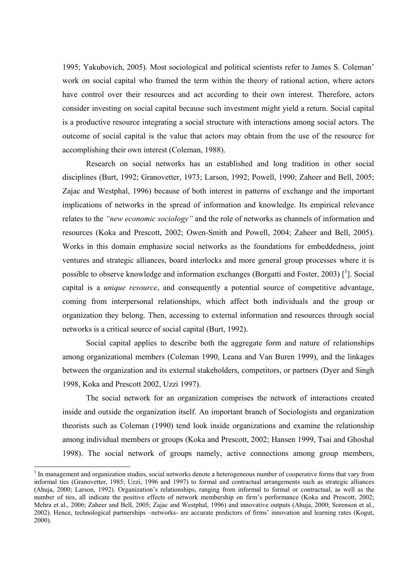1995; Yakubovich, 2005). Most sociological and political scientists refer to James S. Coleman' work on social capital who framed the term within the theory of rational action, where actors have control over their resources and act according to their own interest. Therefore, actors consider investing on social capital because such investment might yield a return. Social capital is a productive resource integrating a social structure with interactions among social actors. The outcome of social capital is the value that actors may obtain from the use of the resource for accomplishing their own interest (Coleman, 1988).

Research on social networks has an established and long tradition in other social disciplines (Burt, 1992; Granovetter, 1973; Larson, 1992; Powell, 1990; Zaheer and Bell, 2005; Zajac and Westphal, 1996) because of both interest in patterns of exchange and the important implications of networks in the spread of information and knowledge. Its empirical relevance relates to the *"new economic sociology"* and the role of networks as channels of information and resources (Koka and Prescott, 2002; Owen-Smith and Powell, 2004; Zaheer and Bell, 2005). Works in this domain emphasize social networks as the foundations for embeddedness, joint ventures and strategic alliances, board interlocks and more general group processes where it is possible to observe knowledge and information exchanges (Borgatti and Foster, 2003)  $\lceil \cdot \rceil$ . Social capital is a *unique resource*, and consequently a potential source of competitive advantage, coming from interpersonal relationships, which affect both individuals and the group or organization they belong. Then, accessing to external information and resources through social networks is a critical source of social capital (Burt, 1992).

Social capital applies to describe both the aggregate form and nature of relationships among organizational members (Coleman 1990, Leana and Van Buren 1999), and the linkages between the organization and its external stakeholders, competitors, or partners (Dyer and Singh 1998, Koka and Prescott 2002, Uzzi 1997).

The social network for an organization comprises the network of interactions created inside and outside the organization itself. An important branch of Sociologists and organization theorists such as Coleman (1990) tend look inside organizations and examine the relationship among individual members or groups (Koka and Prescott, 2002; Hansen 1999, Tsai and Ghoshal 1998). The social network of groups namely, active connections among group members,

l

 $1$  In management and organization studies, social networks denote a heterogeneous number of cooperative forms that vary from informal ties (Granovetter, 1985; Uzzi, 1996 and 1997) to formal and contractual arrangements such as strategic alliances (Ahuja, 2000; Larson, 1992). Organization's relationships, ranging from informal to formal or contractual, as well as the number of ties, all indicate the positive effects of network membership on firm's performance (Koka and Prescott, 2002; Mehra et al., 2006; Zaheer and Bell, 2005; Zajac and Westphal, 1996) and innovative outputs (Ahuja, 2000; Sorenson et al., 2002). Hence, technological partnerships –networks- are accurate predictors of firms' innovation and learning rates (Kogut, 2000).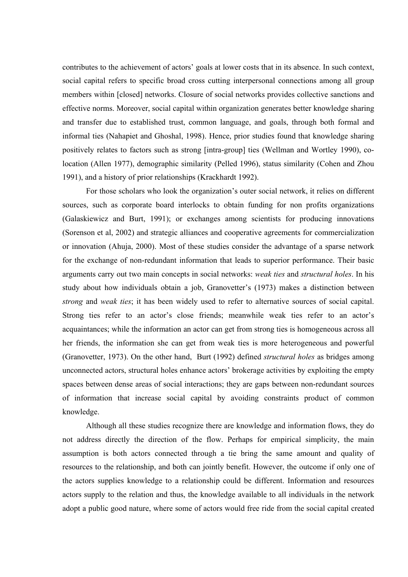contributes to the achievement of actors' goals at lower costs that in its absence. In such context, social capital refers to specific broad cross cutting interpersonal connections among all group members within [closed] networks. Closure of social networks provides collective sanctions and effective norms. Moreover, social capital within organization generates better knowledge sharing and transfer due to established trust, common language, and goals, through both formal and informal ties (Nahapiet and Ghoshal, 1998). Hence, prior studies found that knowledge sharing positively relates to factors such as strong [intra-group] ties (Wellman and Wortley 1990), colocation (Allen 1977), demographic similarity (Pelled 1996), status similarity (Cohen and Zhou 1991), and a history of prior relationships (Krackhardt 1992).

For those scholars who look the organization's outer social network, it relies on different sources, such as corporate board interlocks to obtain funding for non profits organizations (Galaskiewicz and Burt, 1991); or exchanges among scientists for producing innovations (Sorenson et al, 2002) and strategic alliances and cooperative agreements for commercialization or innovation (Ahuja, 2000). Most of these studies consider the advantage of a sparse network for the exchange of non-redundant information that leads to superior performance. Their basic arguments carry out two main concepts in social networks: *weak ties* and *structural holes*. In his study about how individuals obtain a job, Granovetter's (1973) makes a distinction between *strong* and *weak ties*; it has been widely used to refer to alternative sources of social capital. Strong ties refer to an actor's close friends; meanwhile weak ties refer to an actor's acquaintances; while the information an actor can get from strong ties is homogeneous across all her friends, the information she can get from weak ties is more heterogeneous and powerful (Granovetter, 1973). On the other hand, Burt (1992) defined *structural holes* as bridges among unconnected actors, structural holes enhance actors' brokerage activities by exploiting the empty spaces between dense areas of social interactions; they are gaps between non-redundant sources of information that increase social capital by avoiding constraints product of common knowledge.

Although all these studies recognize there are knowledge and information flows, they do not address directly the direction of the flow. Perhaps for empirical simplicity, the main assumption is both actors connected through a tie bring the same amount and quality of resources to the relationship, and both can jointly benefit. However, the outcome if only one of the actors supplies knowledge to a relationship could be different. Information and resources actors supply to the relation and thus, the knowledge available to all individuals in the network adopt a public good nature, where some of actors would free ride from the social capital created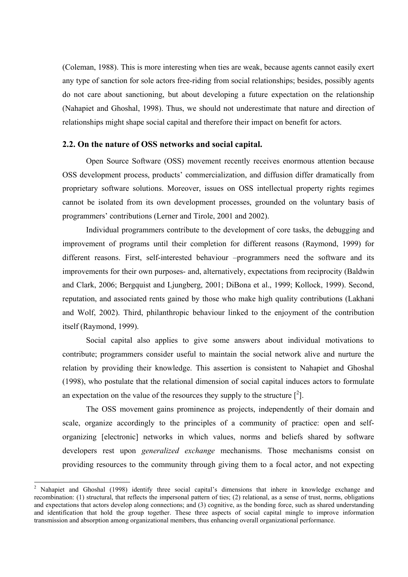(Coleman, 1988). This is more interesting when ties are weak, because agents cannot easily exert any type of sanction for sole actors free-riding from social relationships; besides, possibly agents do not care about sanctioning, but about developing a future expectation on the relationship (Nahapiet and Ghoshal, 1998). Thus, we should not underestimate that nature and direction of relationships might shape social capital and therefore their impact on benefit for actors.

#### **2.2. On the nature of OSS networks and social capital.**

Open Source Software (OSS) movement recently receives enormous attention because OSS development process, products' commercialization, and diffusion differ dramatically from proprietary software solutions. Moreover, issues on OSS intellectual property rights regimes cannot be isolated from its own development processes, grounded on the voluntary basis of programmers' contributions (Lerner and Tirole, 2001 and 2002).

Individual programmers contribute to the development of core tasks, the debugging and improvement of programs until their completion for different reasons (Raymond, 1999) for different reasons. First, self-interested behaviour –programmers need the software and its improvements for their own purposes- and, alternatively, expectations from reciprocity (Baldwin and Clark, 2006; Bergquist and Ljungberg, 2001; DiBona et al., 1999; Kollock, 1999). Second, reputation, and associated rents gained by those who make high quality contributions (Lakhani and Wolf, 2002). Third, philanthropic behaviour linked to the enjoyment of the contribution itself (Raymond, 1999).

Social capital also applies to give some answers about individual motivations to contribute; programmers consider useful to maintain the social network alive and nurture the relation by providing their knowledge. This assertion is consistent to Nahapiet and Ghoshal (1998), who postulate that the relational dimension of social capital induces actors to formulate an expectation on the value of the resources they supply to the structure  $\binom{2}{1}$ .

The OSS movement gains prominence as projects, independently of their domain and scale, organize accordingly to the principles of a community of practice: open and selforganizing [electronic] networks in which values, norms and beliefs shared by software developers rest upon *generalized exchange* mechanisms. Those mechanisms consist on providing resources to the community through giving them to a focal actor, and not expecting

 $\frac{1}{2}$  Nahapiet and Ghoshal (1998) identify three social capital's dimensions that inhere in knowledge exchange and recombination: (1) structural, that reflects the impersonal pattern of ties; (2) relational, as a sense of trust, norms, obligations and expectations that actors develop along connections; and (3) cognitive, as the bonding force, such as shared understanding and identification that hold the group together. These three aspects of social capital mingle to improve information transmission and absorption among organizational members, thus enhancing overall organizational performance.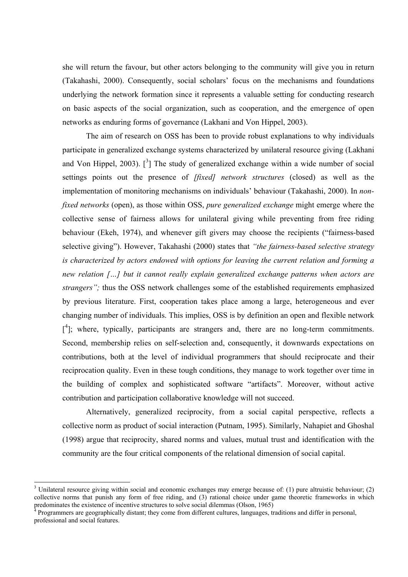she will return the favour, but other actors belonging to the community will give you in return (Takahashi, 2000). Consequently, social scholars' focus on the mechanisms and foundations underlying the network formation since it represents a valuable setting for conducting research on basic aspects of the social organization, such as cooperation, and the emergence of open networks as enduring forms of governance (Lakhani and Von Hippel, 2003).

The aim of research on OSS has been to provide robust explanations to why individuals participate in generalized exchange systems characterized by unilateral resource giving (Lakhani and Von Hippel, 2003).  $\left[ \begin{array}{c} 3 \end{array} \right]$  The study of generalized exchange within a wide number of social settings points out the presence of *[fixed] network structures* (closed) as well as the implementation of monitoring mechanisms on individuals' behaviour (Takahashi, 2000). In *nonfixed networks* (open), as those within OSS, *pure generalized exchange* might emerge where the collective sense of fairness allows for unilateral giving while preventing from free riding behaviour (Ekeh, 1974), and whenever gift givers may choose the recipients ("fairness-based selective giving"). However, Takahashi (2000) states that *"the fairness-based selective strategy is characterized by actors endowed with options for leaving the current relation and forming a new relation […] but it cannot really explain generalized exchange patterns when actors are strangers";* thus the OSS network challenges some of the established requirements emphasized by previous literature. First, cooperation takes place among a large, heterogeneous and ever changing number of individuals. This implies, OSS is by definition an open and flexible network [<sup>4</sup>]; where, typically, participants are strangers and, there are no long-term commitments. Second, membership relies on self-selection and, consequently, it downwards expectations on contributions, both at the level of individual programmers that should reciprocate and their reciprocation quality. Even in these tough conditions, they manage to work together over time in the building of complex and sophisticated software "artifacts". Moreover, without active contribution and participation collaborative knowledge will not succeed.

Alternatively, generalized reciprocity, from a social capital perspective, reflects a collective norm as product of social interaction (Putnam, 1995). Similarly, Nahapiet and Ghoshal (1998) argue that reciprocity, shared norms and values, mutual trust and identification with the community are the four critical components of the relational dimension of social capital.

 $3$  Unilateral resource giving within social and economic exchanges may emerge because of: (1) pure altruistic behaviour; (2) collective norms that punish any form of free riding, and (3) rational choice under game theoretic frameworks in which predominates the existence of incentive structures to solve social dilemmas (Olson, 1965)

Programmers are geographically distant; they come from different cultures, languages, traditions and differ in personal, professional and social features.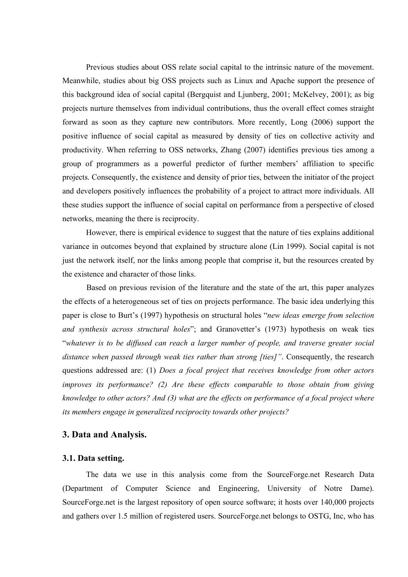Previous studies about OSS relate social capital to the intrinsic nature of the movement. Meanwhile, studies about big OSS projects such as Linux and Apache support the presence of this background idea of social capital (Bergquist and Ljunberg, 2001; McKelvey, 2001); as big projects nurture themselves from individual contributions, thus the overall effect comes straight forward as soon as they capture new contributors. More recently, Long (2006) support the positive influence of social capital as measured by density of ties on collective activity and productivity. When referring to OSS networks, Zhang (2007) identifies previous ties among a group of programmers as a powerful predictor of further members' affiliation to specific projects. Consequently, the existence and density of prior ties, between the initiator of the project and developers positively influences the probability of a project to attract more individuals. All these studies support the influence of social capital on performance from a perspective of closed networks, meaning the there is reciprocity.

However, there is empirical evidence to suggest that the nature of ties explains additional variance in outcomes beyond that explained by structure alone (Lin 1999). Social capital is not just the network itself, nor the links among people that comprise it, but the resources created by the existence and character of those links.

Based on previous revision of the literature and the state of the art, this paper analyzes the effects of a heterogeneous set of ties on projects performance. The basic idea underlying this paper is close to Burt's (1997) hypothesis on structural holes "*new ideas emerge from selection and synthesis across structural holes*"; and Granovetter's (1973) hypothesis on weak ties "*whatever is to be diffused can reach a larger number of people, and traverse greater social distance when passed through weak ties rather than strong [ties]"*. Consequently, the research questions addressed are: (1) *Does a focal project that receives knowledge from other actors improves its performance? (2) Are these effects comparable to those obtain from giving knowledge to other actors? And (3) what are the effects on performance of a focal project where its members engage in generalized reciprocity towards other projects?* 

## **3. Data and Analysis.**

### **3.1. Data setting.**

The data we use in this analysis come from the SourceForge.net Research Data (Department of Computer Science and Engineering, University of Notre Dame). SourceForge.net is the largest repository of open source software; it hosts over 140,000 projects and gathers over 1.5 million of registered users. SourceForge.net belongs to OSTG, Inc, who has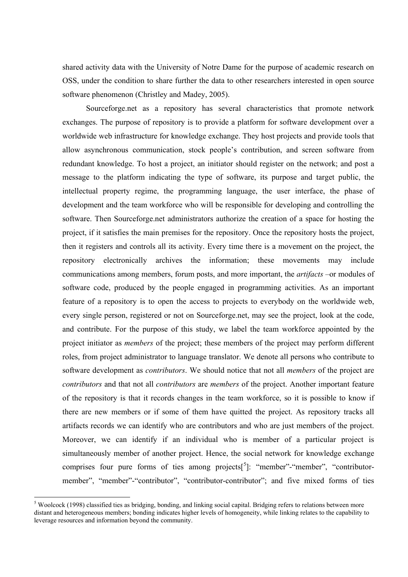shared activity data with the University of Notre Dame for the purpose of academic research on OSS, under the condition to share further the data to other researchers interested in open source software phenomenon (Christley and Madey, 2005).

Sourceforge.net as a repository has several characteristics that promote network exchanges. The purpose of repository is to provide a platform for software development over a worldwide web infrastructure for knowledge exchange. They host projects and provide tools that allow asynchronous communication, stock people's contribution, and screen software from redundant knowledge. To host a project, an initiator should register on the network; and post a message to the platform indicating the type of software, its purpose and target public, the intellectual property regime, the programming language, the user interface, the phase of development and the team workforce who will be responsible for developing and controlling the software. Then Sourceforge.net administrators authorize the creation of a space for hosting the project, if it satisfies the main premises for the repository. Once the repository hosts the project, then it registers and controls all its activity. Every time there is a movement on the project, the repository electronically archives the information; these movements may include communications among members, forum posts, and more important, the *artifacts* –or modules of software code, produced by the people engaged in programming activities. As an important feature of a repository is to open the access to projects to everybody on the worldwide web, every single person, registered or not on Sourceforge.net, may see the project, look at the code, and contribute. For the purpose of this study, we label the team workforce appointed by the project initiator as *members* of the project; these members of the project may perform different roles, from project administrator to language translator. We denote all persons who contribute to software development as *contributors*. We should notice that not all *members* of the project are *contributors* and that not all *contributors* are *members* of the project. Another important feature of the repository is that it records changes in the team workforce, so it is possible to know if there are new members or if some of them have quitted the project. As repository tracks all artifacts records we can identify who are contributors and who are just members of the project. Moreover, we can identify if an individual who is member of a particular project is simultaneously member of another project. Hence, the social network for knowledge exchange comprises four pure forms of ties among projects $[5]$ : "member"- "member", "contributormember", "member"-"contributor", "contributor-contributor"; and five mixed forms of ties

<sup>&</sup>lt;sup>5</sup> Woolcock (1998) classified ties as bridging, bonding, and linking social capital. Bridging refers to relations between more distant and heterogeneous members; bonding indicates higher levels of homogeneity, while linking relates to the capability to leverage resources and information beyond the community.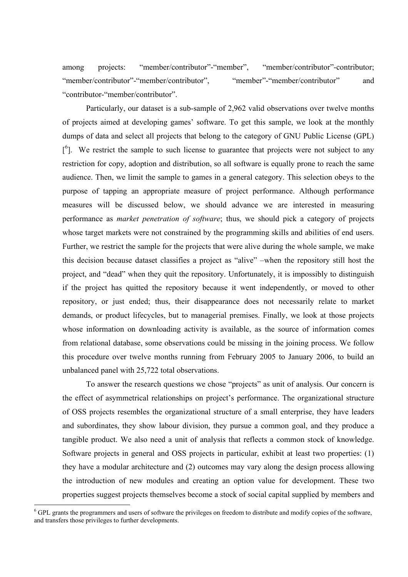among projects: "member/contributor"-"member", "member/contributor"-contributor; "member/contributor"-"member/contributor", "member"-"member/contributor" and "contributor-"member/contributor".

Particularly, our dataset is a sub-sample of 2,962 valid observations over twelve months of projects aimed at developing games' software. To get this sample, we look at the monthly dumps of data and select all projects that belong to the category of GNU Public License (GPL)  $[6]$ . We restrict the sample to such license to guarantee that projects were not subject to any restriction for copy, adoption and distribution, so all software is equally prone to reach the same audience. Then, we limit the sample to games in a general category. This selection obeys to the purpose of tapping an appropriate measure of project performance. Although performance measures will be discussed below, we should advance we are interested in measuring performance as *market penetration of software*; thus, we should pick a category of projects whose target markets were not constrained by the programming skills and abilities of end users. Further, we restrict the sample for the projects that were alive during the whole sample, we make this decision because dataset classifies a project as "alive" –when the repository still host the project, and "dead" when they quit the repository. Unfortunately, it is impossibly to distinguish if the project has quitted the repository because it went independently, or moved to other repository, or just ended; thus, their disappearance does not necessarily relate to market demands, or product lifecycles, but to managerial premises. Finally, we look at those projects whose information on downloading activity is available, as the source of information comes from relational database, some observations could be missing in the joining process. We follow this procedure over twelve months running from February 2005 to January 2006, to build an unbalanced panel with 25,722 total observations.

To answer the research questions we chose "projects" as unit of analysis. Our concern is the effect of asymmetrical relationships on project's performance. The organizational structure of OSS projects resembles the organizational structure of a small enterprise, they have leaders and subordinates, they show labour division, they pursue a common goal, and they produce a tangible product. We also need a unit of analysis that reflects a common stock of knowledge. Software projects in general and OSS projects in particular, exhibit at least two properties: (1) they have a modular architecture and (2) outcomes may vary along the design process allowing the introduction of new modules and creating an option value for development. These two properties suggest projects themselves become a stock of social capital supplied by members and

l

<sup>&</sup>lt;sup>6</sup> GPL grants the programmers and users of software the privileges on freedom to distribute and modify copies of the software, and transfers those privileges to further developments.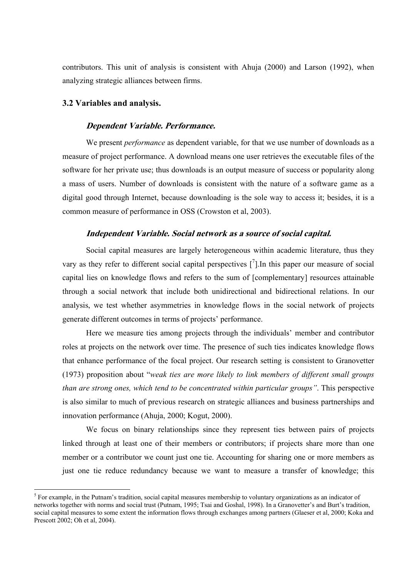contributors. This unit of analysis is consistent with Ahuja (2000) and Larson (1992), when analyzing strategic alliances between firms.

## **3.2 Variables and analysis.**

#### **Dependent Variable. Performance.**

We present *performance* as dependent variable, for that we use number of downloads as a measure of project performance. A download means one user retrieves the executable files of the software for her private use; thus downloads is an output measure of success or popularity along a mass of users. Number of downloads is consistent with the nature of a software game as a digital good through Internet, because downloading is the sole way to access it; besides, it is a common measure of performance in OSS (Crowston et al, 2003).

#### **Independent Variable. Social network as a source of social capital.**

Social capital measures are largely heterogeneous within academic literature, thus they vary as they refer to different social capital perspectives  $\lceil \cdot \rceil$ . In this paper our measure of social capital lies on knowledge flows and refers to the sum of [complementary] resources attainable through a social network that include both unidirectional and bidirectional relations. In our analysis, we test whether asymmetries in knowledge flows in the social network of projects generate different outcomes in terms of projects' performance.

Here we measure ties among projects through the individuals' member and contributor roles at projects on the network over time. The presence of such ties indicates knowledge flows that enhance performance of the focal project. Our research setting is consistent to Granovetter (1973) proposition about "*weak ties are more likely to link members of different small groups than are strong ones, which tend to be concentrated within particular groups"*. This perspective is also similar to much of previous research on strategic alliances and business partnerships and innovation performance (Ahuja, 2000; Kogut, 2000).

We focus on binary relationships since they represent ties between pairs of projects linked through at least one of their members or contributors; if projects share more than one member or a contributor we count just one tie. Accounting for sharing one or more members as just one tie reduce redundancy because we want to measure a transfer of knowledge; this

<sup>&</sup>lt;sup>5</sup> For example, in the Putnam's tradition, social capital measures membership to voluntary organizations as an indicator of networks together with norms and social trust (Putnam, 1995; Tsai and Goshal, 1998). In a Granovetter's and Burt's tradition, social capital measures to some extent the information flows through exchanges among partners (Glaeser et al, 2000; Koka and Prescott 2002; Oh et al, 2004).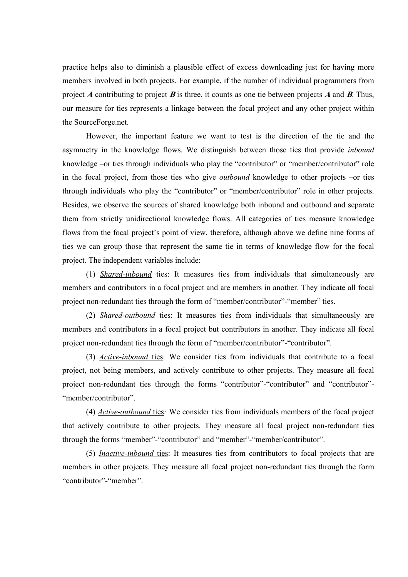practice helps also to diminish a plausible effect of excess downloading just for having more members involved in both projects. For example, if the number of individual programmers from project **A** contributing to project **B** is three, it counts as one tie between projects **A** and **B**. Thus, our measure for ties represents a linkage between the focal project and any other project within the SourceForge.net.

However, the important feature we want to test is the direction of the tie and the asymmetry in the knowledge flows. We distinguish between those ties that provide *inbound* knowledge –or ties through individuals who play the "contributor" or "member/contributor" role in the focal project, from those ties who give *outbound* knowledge to other projects –or ties through individuals who play the "contributor" or "member/contributor" role in other projects. Besides, we observe the sources of shared knowledge both inbound and outbound and separate them from strictly unidirectional knowledge flows. All categories of ties measure knowledge flows from the focal project's point of view, therefore, although above we define nine forms of ties we can group those that represent the same tie in terms of knowledge flow for the focal project. The independent variables include:

(1) *Shared-inbound* ties: It measures ties from individuals that simultaneously are members and contributors in a focal project and are members in another. They indicate all focal project non-redundant ties through the form of "member/contributor"-"member" ties.

(2) *Shared-outbound* ties: It measures ties from individuals that simultaneously are members and contributors in a focal project but contributors in another. They indicate all focal project non-redundant ties through the form of "member/contributor"-"contributor".

(3) *Active-inbound* ties: We consider ties from individuals that contribute to a focal project, not being members, and actively contribute to other projects. They measure all focal project non-redundant ties through the forms "contributor"-"contributor" and "contributor"-"member/contributor".

(4) *Active-outbound* ties*:* We consider ties from individuals members of the focal project that actively contribute to other projects. They measure all focal project non-redundant ties through the forms "member"-"contributor" and "member"-"member/contributor".

(5) *Inactive-inbound* ties: It measures ties from contributors to focal projects that are members in other projects. They measure all focal project non-redundant ties through the form "contributor"-"member".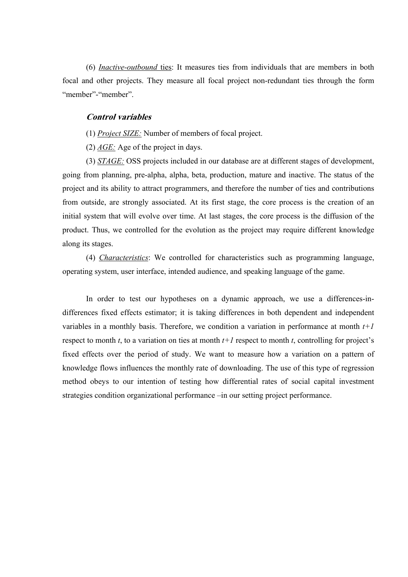(6) *Inactive-outbound* ties: It measures ties from individuals that are members in both focal and other projects. They measure all focal project non-redundant ties through the form "member"-"member".

## **Control variables**

- (1) *Project SIZE:* Number of members of focal project.
- (2) *AGE:* Age of the project in days.

(3) *STAGE:* OSS projects included in our database are at different stages of development, going from planning, pre-alpha, alpha, beta, production, mature and inactive. The status of the project and its ability to attract programmers, and therefore the number of ties and contributions from outside, are strongly associated. At its first stage, the core process is the creation of an initial system that will evolve over time. At last stages, the core process is the diffusion of the product. Thus, we controlled for the evolution as the project may require different knowledge along its stages.

(4) *Characteristics*: We controlled for characteristics such as programming language, operating system, user interface, intended audience, and speaking language of the game.

In order to test our hypotheses on a dynamic approach, we use a differences-indifferences fixed effects estimator; it is taking differences in both dependent and independent variables in a monthly basis. Therefore, we condition a variation in performance at month  $t+1$ respect to month  $t$ , to a variation on ties at month  $t+1$  respect to month  $t$ , controlling for project's fixed effects over the period of study. We want to measure how a variation on a pattern of knowledge flows influences the monthly rate of downloading. The use of this type of regression method obeys to our intention of testing how differential rates of social capital investment strategies condition organizational performance –in our setting project performance.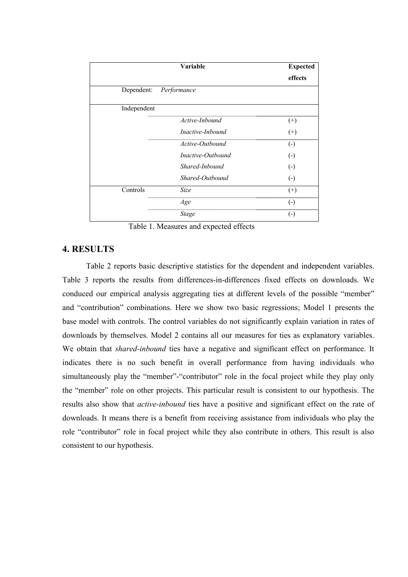|             | <b>Expected</b>                                       |                    |
|-------------|-------------------------------------------------------|--------------------|
|             |                                                       | effects            |
|             | Dependent: Performance                                |                    |
| Independent |                                                       |                    |
|             | Active-Inbound                                        | $^{(+)}$           |
|             | <i>Inactive-Inbound</i>                               | $^{(+)}$           |
|             | ,,,,,,,,,,,,,,,,,,,,,,,,,,,,,,,,,,<br>Active-Outbound | $(-)$              |
|             | Inactive-Outbound                                     | $(\textnormal{-})$ |
|             | Shared-Inbound                                        | $\left( -\right)$  |
|             | Shared-Outbound                                       | $\left( -\right)$  |
| Controls    | <b>Size</b>                                           | $^{(+)}$           |
|             | <br>Age                                               | $\left( -\right)$  |
|             | <br>Stage                                             | $(-)$              |

Table 1. Measures and expected effects

# **4. RESULTS**

Table 2 reports basic descriptive statistics for the dependent and independent variables. Table 3 reports the results from differences-in-differences fixed effects on downloads. We conduced our empirical analysis aggregating ties at different levels of the possible "member" and "contribution" combinations. Here we show two basic regressions; Model 1 presents the base model with controls. The control variables do not significantly explain variation in rates of downloads by themselves. Model 2 contains all our measures for ties as explanatory variables. We obtain that *shared-inbound* ties have a negative and significant effect on performance. It indicates there is no such benefit in overall performance from having individuals who simultaneously play the "member"-"contributor" role in the focal project while they play only the "member" role on other projects. This particular result is consistent to our hypothesis. The results also show that *active-inbound* ties have a positive and significant effect on the rate of downloads. It means there is a benefit from receiving assistance from individuals who play the role "contributor" role in focal project while they also contribute in others. This result is also consistent to our hypothesis.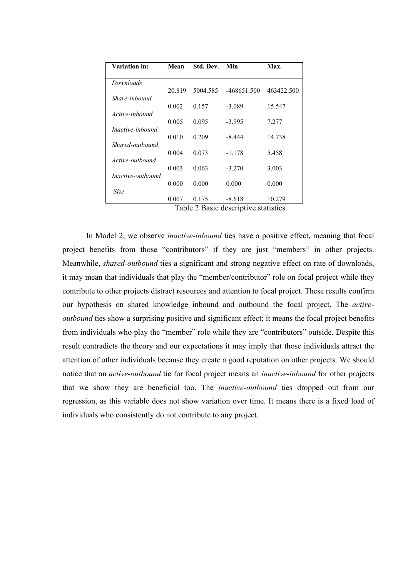| Variation in:            | Mean   | Std. Dev. | Min           | Max.       |  |
|--------------------------|--------|-----------|---------------|------------|--|
|                          |        |           |               |            |  |
| Downloads                |        |           |               |            |  |
|                          | 20.819 | 5004.585  | $-468651.500$ | 463422.500 |  |
| Share-inbound            |        |           |               |            |  |
|                          | 0.002  | 0.157     | $-3.089$      | 15.547     |  |
| Active-inbound           |        |           |               |            |  |
|                          | 0.005  | 0.095     | $-3.995$      | 7.277      |  |
| Inactive-inbound         |        |           |               |            |  |
|                          | 0.010  | 0.209     | $-8.444$      | 14.738     |  |
| Shared-outbound          |        |           |               |            |  |
|                          | 0.004  | 0.073     | $-1.178$      | 5.458      |  |
| Active-outbound          |        |           |               |            |  |
|                          | 0.003  | 0.063     | $-3.270$      | 3.003      |  |
| <i>Inactive-outbound</i> |        |           |               |            |  |
|                          | 0.000  | 0.000     | 0.000         | 0.000      |  |
| Size                     |        |           |               |            |  |
|                          | 0.007  | 0.175     | $-8.618$      | 10.279     |  |

Table 2 Basic descriptive statistics

In Model 2, we observe *inactive-inbound* ties have a positive effect, meaning that focal project benefits from those "contributors" if they are just "members" in other projects. Meanwhile, *shared-outbound* ties a significant and strong negative effect on rate of downloads, it may mean that individuals that play the "member/contributor" role on focal project while they contribute to other projects distract resources and attention to focal project. These results confirm our hypothesis on shared knowledge inbound and outbound the focal project. The *activeoutbound* ties show a surprising positive and significant effect; it means the focal project benefits from individuals who play the "member" role while they are "contributors" outside. Despite this result contradicts the theory and our expectations it may imply that those individuals attract the attention of other individuals because they create a good reputation on other projects. We should notice that an *active-outbound* tie for focal project means an *inactive-inbound* for other projects that we show they are beneficial too. The *inactive-outbound* ties dropped out from our regression, as this variable does not show variation over time. It means there is a fixed load of individuals who consistently do not contribute to any project.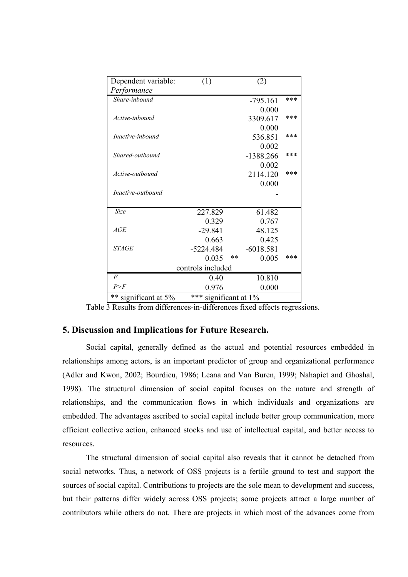| Dependent variable:  | (1)                   |       | (2)         |     |  |  |  |
|----------------------|-----------------------|-------|-------------|-----|--|--|--|
| Performance          |                       |       |             |     |  |  |  |
| Share-inbound        |                       |       | $-795.161$  | *** |  |  |  |
|                      |                       |       | 0.000       |     |  |  |  |
| Active-inbound       |                       |       | 3309.617    | *** |  |  |  |
|                      |                       |       | 0.000       |     |  |  |  |
| Inactive-inbound     |                       |       | 536.851     | *** |  |  |  |
|                      |                       |       | 0.002       |     |  |  |  |
| Shared-outbound      |                       |       | $-1388.266$ | *** |  |  |  |
|                      |                       |       | 0.002       |     |  |  |  |
| Active-outbound      |                       |       | 2114.120    | *** |  |  |  |
|                      |                       |       | 0.000       |     |  |  |  |
| Inactive-outbound    |                       |       |             |     |  |  |  |
|                      |                       |       |             |     |  |  |  |
| Size                 | 227.829               |       | 61.482      |     |  |  |  |
|                      | 0.329                 |       | 0.767       |     |  |  |  |
| AGE                  | $-29.841$             |       | 48.125      |     |  |  |  |
|                      | 0.663                 |       | 0.425       |     |  |  |  |
| <b>STAGE</b>         | $-5224.484$           |       | $-6018.581$ |     |  |  |  |
|                      | 0.035                 | $***$ | 0.005       | *** |  |  |  |
| controls included    |                       |       |             |     |  |  |  |
| $\overline{F}$       | 0.40                  |       | 10.810      |     |  |  |  |
| P>F                  | 0.976                 |       | 0.000       |     |  |  |  |
| ** significant at 5% | *** significant at 1% |       |             |     |  |  |  |

Table 3 Results from differences-in-differences fixed effects regressions.

## **5. Discussion and Implications for Future Research.**

Social capital, generally defined as the actual and potential resources embedded in relationships among actors, is an important predictor of group and organizational performance (Adler and Kwon, 2002; Bourdieu, 1986; Leana and Van Buren, 1999; Nahapiet and Ghoshal, 1998). The structural dimension of social capital focuses on the nature and strength of relationships, and the communication flows in which individuals and organizations are embedded. The advantages ascribed to social capital include better group communication, more efficient collective action, enhanced stocks and use of intellectual capital, and better access to resources.

The structural dimension of social capital also reveals that it cannot be detached from social networks. Thus, a network of OSS projects is a fertile ground to test and support the sources of social capital. Contributions to projects are the sole mean to development and success, but their patterns differ widely across OSS projects; some projects attract a large number of contributors while others do not. There are projects in which most of the advances come from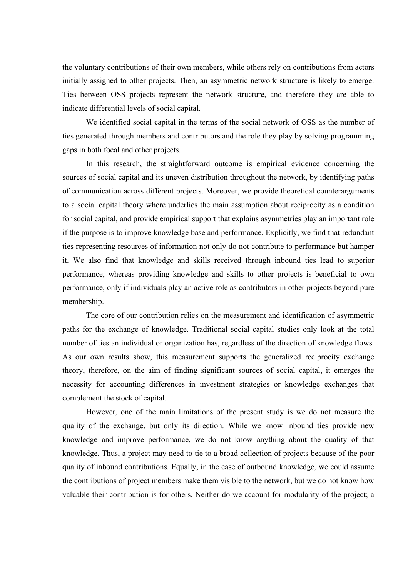the voluntary contributions of their own members, while others rely on contributions from actors initially assigned to other projects. Then, an asymmetric network structure is likely to emerge. Ties between OSS projects represent the network structure, and therefore they are able to indicate differential levels of social capital.

We identified social capital in the terms of the social network of OSS as the number of ties generated through members and contributors and the role they play by solving programming gaps in both focal and other projects.

In this research, the straightforward outcome is empirical evidence concerning the sources of social capital and its uneven distribution throughout the network, by identifying paths of communication across different projects. Moreover, we provide theoretical counterarguments to a social capital theory where underlies the main assumption about reciprocity as a condition for social capital, and provide empirical support that explains asymmetries play an important role if the purpose is to improve knowledge base and performance. Explicitly, we find that redundant ties representing resources of information not only do not contribute to performance but hamper it. We also find that knowledge and skills received through inbound ties lead to superior performance, whereas providing knowledge and skills to other projects is beneficial to own performance, only if individuals play an active role as contributors in other projects beyond pure membership.

The core of our contribution relies on the measurement and identification of asymmetric paths for the exchange of knowledge. Traditional social capital studies only look at the total number of ties an individual or organization has, regardless of the direction of knowledge flows. As our own results show, this measurement supports the generalized reciprocity exchange theory, therefore, on the aim of finding significant sources of social capital, it emerges the necessity for accounting differences in investment strategies or knowledge exchanges that complement the stock of capital.

However, one of the main limitations of the present study is we do not measure the quality of the exchange, but only its direction. While we know inbound ties provide new knowledge and improve performance, we do not know anything about the quality of that knowledge. Thus, a project may need to tie to a broad collection of projects because of the poor quality of inbound contributions. Equally, in the case of outbound knowledge, we could assume the contributions of project members make them visible to the network, but we do not know how valuable their contribution is for others. Neither do we account for modularity of the project; a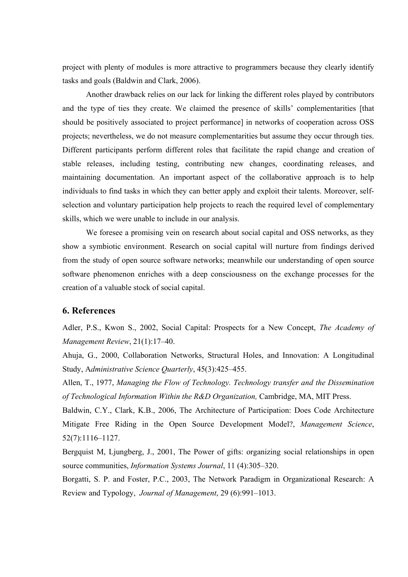project with plenty of modules is more attractive to programmers because they clearly identify tasks and goals (Baldwin and Clark, 2006).

Another drawback relies on our lack for linking the different roles played by contributors and the type of ties they create. We claimed the presence of skills' complementarities [that should be positively associated to project performance] in networks of cooperation across OSS projects; nevertheless, we do not measure complementarities but assume they occur through ties. Different participants perform different roles that facilitate the rapid change and creation of stable releases, including testing, contributing new changes, coordinating releases, and maintaining documentation. An important aspect of the collaborative approach is to help individuals to find tasks in which they can better apply and exploit their talents. Moreover, selfselection and voluntary participation help projects to reach the required level of complementary skills, which we were unable to include in our analysis.

We foresee a promising vein on research about social capital and OSS networks, as they show a symbiotic environment. Research on social capital will nurture from findings derived from the study of open source software networks; meanwhile our understanding of open source software phenomenon enriches with a deep consciousness on the exchange processes for the creation of a valuable stock of social capital.

## **6. References**

Adler, P.S., Kwon S., 2002, Social Capital: Prospects for a New Concept, *The Academy of Management Review*, 21(1):17–40.

Ahuja, G., 2000, Collaboration Networks, Structural Holes, and Innovation: A Longitudinal Study, A*dministrative Science Quarterly*, 45(3):425–455.

Allen, T., 1977, *Managing the Flow of Technology. Technology transfer and the Dissemination of Technological Information Within the R&D Organization,* Cambridge, MA, MIT Press.

Baldwin, C.Y., Clark, K.B., 2006, The Architecture of Participation: Does Code Architecture Mitigate Free Riding in the Open Source Development Model?, *Management Science*, 52(7):1116–1127.

Bergquist M, Ljungberg, J., 2001, The Power of gifts: organizing social relationships in open source communities, *Information Systems Journal*, 11 (4):305–320.

Borgatti, S. P. and Foster, P.C., 2003, The Network Paradigm in Organizational Research: A Review and Typology, *Journal of Management*, 29 (6):991–1013.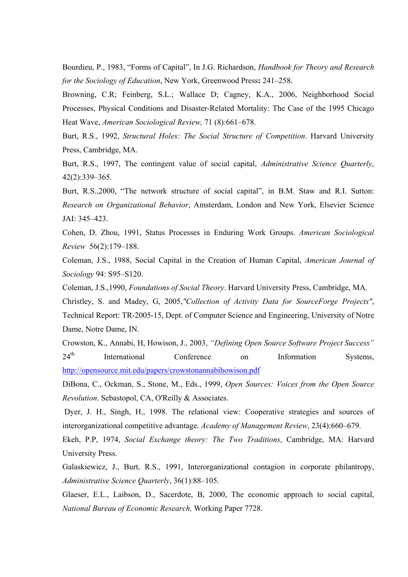Bourdieu, P., 1983, "Forms of Capital", In J.G. Richardson, *Handbook for Theory and Research for the Sociology of Education*, New York, Greenwood Press**:** 241–258.

Browning, C.R; Feinberg, S.L.; Wallace D; Cagney, K.A., 2006, Neighborhood Social Processes, Physical Conditions and Disaster-Related Mortality: The Case of the 1995 Chicago Heat Wave, *American Sociological Review,* 71 (8):661–678.

Burt, R.S., 1992, *Structural Holes: The Social Structure of Competition*. Harvard University Press, Cambridge, MA.

Burt, R.S., 1997, The contingent value of social capital, *Administrative Science Quarterly*, 42(2):339–365.

Burt, R.S.,2000, "The network structure of social capital", in B.M. Staw and R.I. Sutton: *Research on Organizational Behavior*, Amsterdam, London and New York, Elsevier Science JAI: 345–423.

Cohen, D. Zhou, 1991, Status Processes in Enduring Work Groups. *American Sociological Review* 56(2):179–188.

Coleman, J.S., 1988, Social Capital in the Creation of Human Capital, *American Journal of Sociology* 94: S95–S120.

Coleman, J.S.,1990, *Foundations of Social Theory*. Harvard University Press, Cambridge, MA.

Christley, S. and Madey, G, 2005,*"Collection of Activity Data for SourceForge Projects"*, Technical Report: TR-2005-15, Dept. of Computer Science and Engineering, University of Notre Dame, Notre Dame, IN.

Crowston, K., Annabi, H, Howison, J., 2003, *"Defining Open Source Software Project Success"* 24<sup>th</sup> International Conference on Information Systems, http://opensource.mit.edu/papers/crowstonannabihowison.pdf

DiBona, C., Ockman, S., Stone, M., Eds., 1999, *Open Sources: Voices from the Open Source Revolution*. Sebastopol, CA, O'Reilly & Associates.

 Dyer, J. H., Singh, H., 1998. The relational view: Cooperative strategies and sources of interorganizational competitive advantage. *Academy of Management Review*, 23(4):660–679.

Ekeh, P.P, 1974, *Social Exchange theory: The Two Traditions*, Cambridge, MA: Harvard University Press.

Galaskiewicz, J., Burt, R.S., 1991, Interorganizational contagion in corporate philantropy, *Administrative Science Quarterly*, 36(1):88–105.

Glaeser, E.L., Laibson, D., Sacerdote, B, 2000, The economic approach to social capital, *National Bureau of Economic Research,* Working Paper 7728.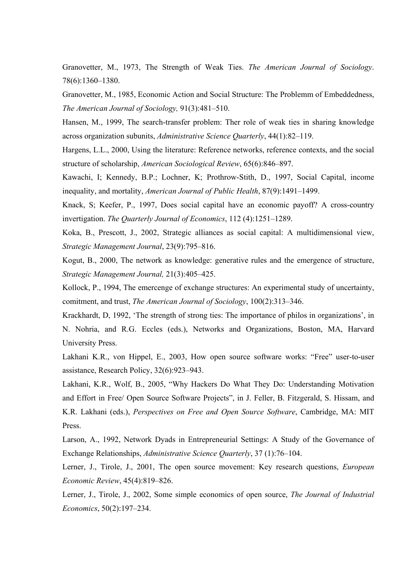Granovetter, M., 1973, The Strength of Weak Ties. *The American Journal of Sociology*. 78(6):1360–1380.

Granovetter, M., 1985, Economic Action and Social Structure: The Problemm of Embeddedness, *The American Journal of Sociology,* 91(3):481–510.

Hansen, M., 1999, The search-transfer problem: Ther role of weak ties in sharing knowledge across organization subunits, *Administrative Science Quarterly*, 44(1):82–119.

Hargens, L.L., 2000, Using the literature: Reference networks, reference contexts, and the social structure of scholarship, *American Sociological Review*, 65(6):846–897.

Kawachi, I; Kennedy, B.P.; Lochner, K; Prothrow-Stith, D., 1997, Social Capital, income inequality, and mortality, *American Journal of Public Health*, 87(9):1491–1499.

Knack, S; Keefer, P., 1997, Does social capital have an economic payoff? A cross-country invertigation. *The Quarterly Journal of Economics*, 112 (4):1251–1289.

Koka, B., Prescott, J., 2002, Strategic alliances as social capital: A multidimensional view, *Strategic Management Journal*, 23(9):795–816.

Kogut, B., 2000, The network as knowledge: generative rules and the emergence of structure, *Strategic Management Journal,* 21(3):405–425.

Kollock, P., 1994, The emercenge of exchange structures: An experimental study of uncertainty, comitment, and trust, *The American Journal of Sociology*, 100(2):313–346.

Krackhardt, D, 1992, 'The strength of strong ties: The importance of philos in organizations', in N. Nohria, and R.G. Eccles (eds.), Networks and Organizations, Boston, MA, Harvard University Press.

Lakhani K.R., von Hippel, E., 2003, How open source software works: "Free" user-to-user assistance, Research Policy, 32(6):923–943.

Lakhani, K.R., Wolf, B., 2005, "Why Hackers Do What They Do: Understanding Motivation and Effort in Free/ Open Source Software Projects", in J. Feller, B. Fitzgerald, S. Hissam, and K.R. Lakhani (eds.), *Perspectives on Free and Open Source Software*, Cambridge, MA: MIT Press.

Larson, A., 1992, Network Dyads in Entrepreneurial Settings: A Study of the Governance of Exchange Relationships, *Administrative Science Quarterly*, 37 (1):76–104.

Lerner, J., Tirole, J., 2001, The open source movement: Key research questions, *European Economic Review*, 45(4):819–826.

Lerner, J., Tirole, J., 2002, Some simple economics of open source, *The Journal of Industrial Economics*, 50(2):197–234.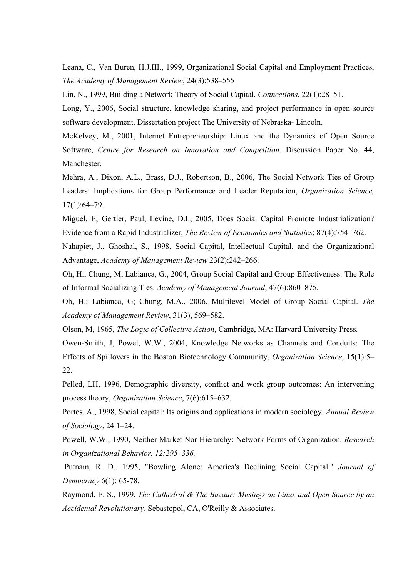Leana, C., Van Buren, H.J.III., 1999, Organizational Social Capital and Employment Practices, *The Academy of Management Review*, 24(3):538–555

Lin, N., 1999, Building a Network Theory of Social Capital, *Connections*, 22(1):28–51.

Long, Y., 2006, Social structure, knowledge sharing, and project performance in open source software development. Dissertation project The University of Nebraska- Lincoln.

McKelvey, M., 2001, Internet Entrepreneurship: Linux and the Dynamics of Open Source Software, *Centre for Research on Innovation and Competition*, Discussion Paper No. 44, Manchester.

Mehra, A., Dixon, A.L., Brass, D.J., Robertson, B., 2006, The Social Network Ties of Group Leaders: Implications for Group Performance and Leader Reputation, *Organization Science,*  17(1):64–79.

Miguel, E; Gertler, Paul, Levine, D.I., 2005, Does Social Capital Promote Industrialization? Evidence from a Rapid Industrializer, *The Review of Economics and Statistics*; 87(4):754–762.

Nahapiet, J., Ghoshal, S., 1998, Social Capital, Intellectual Capital, and the Organizational Advantage, *Academy of Management Review* 23(2):242–266.

Oh, H.; Chung, M; Labianca, G., 2004, Group Social Capital and Group Effectiveness: The Role of Informal Socializing Ties. *Academy of Management Journal*, 47(6):860–875.

Oh, H.; Labianca, G; Chung, M.A., 2006, Multilevel Model of Group Social Capital. *The Academy of Management Review*, 31(3), 569–582.

Olson, M, 1965, *The Logic of Collective Action*, Cambridge, MA: Harvard University Press.

Owen-Smith, J, Powel, W.W., 2004, Knowledge Networks as Channels and Conduits: The Effects of Spillovers in the Boston Biotechnology Community, *Organization Science*, 15(1):5– 22.

Pelled, LH, 1996, Demographic diversity, conflict and work group outcomes: An intervening process theory, *Organization Science*, 7(6):615–632.

Portes, A., 1998, Social capital: Its origins and applications in modern sociology. *Annual Review of Sociology*, 24 1–24.

Powell, W.W., 1990, Neither Market Nor Hierarchy: Network Forms of Organization. *Research in Organizational Behavior. 12:295*–*336.* 

 Putnam, R. D., 1995, "Bowling Alone: America's Declining Social Capital." *Journal of Democracy* 6(1): 65-78.

Raymond, E. S., 1999, *The Cathedral & The Bazaar: Musings on Linux and Open Source by an Accidental Revolutionary*. Sebastopol, CA, O'Reilly & Associates.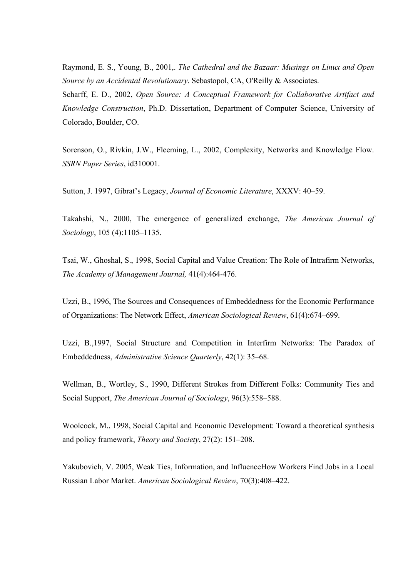Raymond, E. S., Young, B., 2001,. *The Cathedral and the Bazaar: Musings on Linux and Open Source by an Accidental Revolutionary*. Sebastopol, CA, O'Reilly & Associates. Scharff, E. D., 2002, *Open Source: A Conceptual Framework for Collaborative Artifact and Knowledge Construction*, Ph.D. Dissertation, Department of Computer Science, University of Colorado, Boulder, CO.

Sorenson, O., Rivkin, J.W., Fleeming, L., 2002, Complexity, Networks and Knowledge Flow. *SSRN Paper Series*, id310001.

Sutton, J. 1997, Gibrat's Legacy, *Journal of Economic Literature*, XXXV: 40–59.

Takahshi, N., 2000, The emergence of generalized exchange, *The American Journal of Sociology*, 105 (4):1105–1135.

Tsai, W., Ghoshal, S., 1998, Social Capital and Value Creation: The Role of Intrafirm Networks, *The Academy of Management Journal,* 41(4):464-476.

Uzzi, B., 1996, The Sources and Consequences of Embeddedness for the Economic Performance of Organizations: The Network Effect, *American Sociological Review*, 61(4):674–699.

Uzzi, B.,1997, Social Structure and Competition in Interfirm Networks: The Paradox of Embeddedness, *Administrative Science Quarterly*, 42(1): 35–68.

Wellman, B., Wortley, S., 1990, Different Strokes from Different Folks: Community Ties and Social Support, *The American Journal of Sociology*, 96(3):558–588.

Woolcock, M., 1998, Social Capital and Economic Development: Toward a theoretical synthesis and policy framework, *Theory and Society*, 27(2): 151–208.

Yakubovich, V. 2005, Weak Ties, Information, and InfluenceHow Workers Find Jobs in a Local Russian Labor Market. *American Sociological Review*, 70(3):408–422.